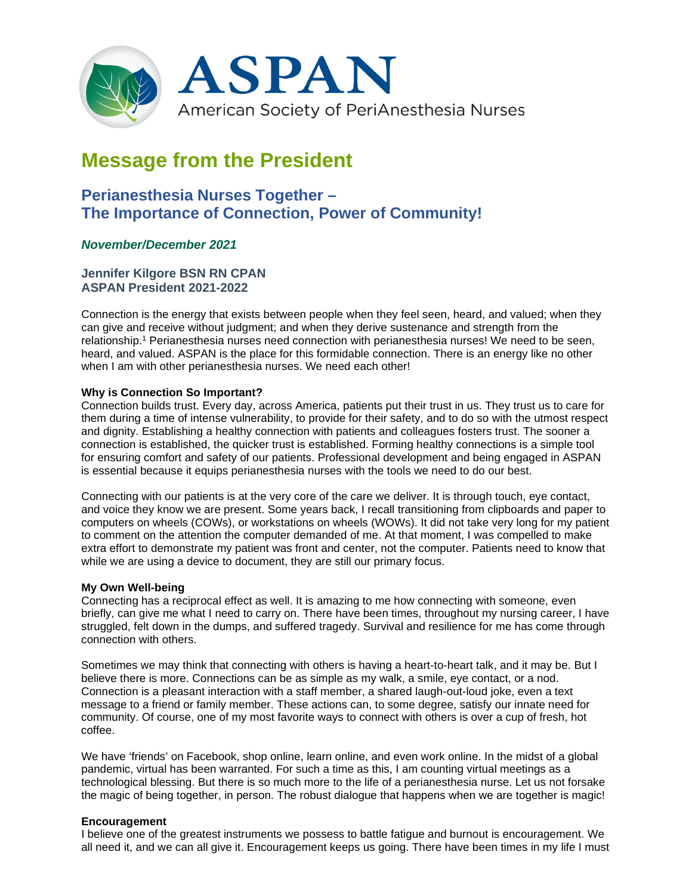

# **Message from the President**

# **Perianesthesia Nurses Together – The Importance of Connection, Power of Community!**

## *November/December 2021*

### **Jennifer Kilgore BSN RN CPAN ASPAN President 2021-2022**

Connection is the energy that exists between people when they feel seen, heard, and valued; when they can give and receive without judgment; and when they derive sustenance and strength from the relationship. <sup>1</sup> Perianesthesia nurses need connection with perianesthesia nurses! We need to be seen, heard, and valued. ASPAN is the place for this formidable connection. There is an energy like no other when I am with other perianesthesia nurses. We need each other!

#### **Why is Connection So Important?**

Connection builds trust. Every day, across America, patients put their trust in us. They trust us to care for them during a time of intense vulnerability, to provide for their safety, and to do so with the utmost respect and dignity. Establishing a healthy connection with patients and colleagues fosters trust. The sooner a connection is established, the quicker trust is established. Forming healthy connections is a simple tool for ensuring comfort and safety of our patients. Professional development and being engaged in ASPAN is essential because it equips perianesthesia nurses with the tools we need to do our best.

Connecting with our patients is at the very core of the care we deliver. It is through touch, eye contact, and voice they know we are present. Some years back, I recall transitioning from clipboards and paper to computers on wheels (COWs), or workstations on wheels (WOWs). It did not take very long for my patient to comment on the attention the computer demanded of me. At that moment, I was compelled to make extra effort to demonstrate my patient was front and center, not the computer. Patients need to know that while we are using a device to document, they are still our primary focus.

#### **My Own Well-being**

Connecting has a reciprocal effect as well. It is amazing to me how connecting with someone, even briefly, can give me what I need to carry on. There have been times, throughout my nursing career, I have struggled, felt down in the dumps, and suffered tragedy. Survival and resilience for me has come through connection with others.

Sometimes we may think that connecting with others is having a heart-to-heart talk, and it may be. But I believe there is more. Connections can be as simple as my walk, a smile, eye contact, or a nod. Connection is a pleasant interaction with a staff member, a shared laugh-out-loud joke, even a text message to a friend or family member. These actions can, to some degree, satisfy our innate need for community. Of course, one of my most favorite ways to connect with others is over a cup of fresh, hot coffee.

We have 'friends' on Facebook, shop online, learn online, and even work online. In the midst of a global pandemic, virtual has been warranted. For such a time as this, I am counting virtual meetings as a technological blessing. But there is so much more to the life of a perianesthesia nurse. Let us not forsake the magic of being together, in person. The robust dialogue that happens when we are together is magic!

#### **Encouragement**

I believe one of the greatest instruments we possess to battle fatigue and burnout is encouragement. We all need it, and we can all give it. Encouragement keeps us going. There have been times in my life I must